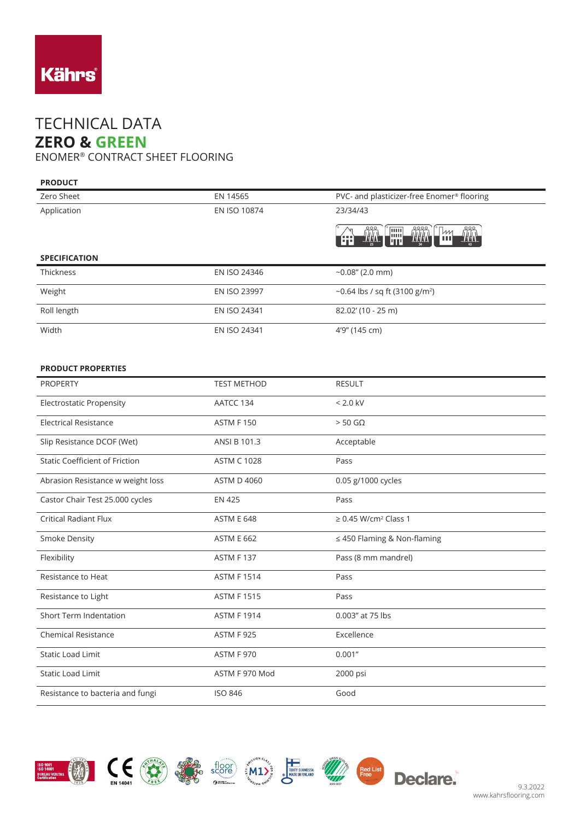

## TECHNICAL DATA **ZERO & GREEN**

ENOMER® CONTRACT SHEET FLOORING

| <b>PRODUCT</b>                  |                    |                                                                            |
|---------------------------------|--------------------|----------------------------------------------------------------------------|
| Zero Sheet                      | EN 14565           | PVC- and plasticizer-free Enomer® flooring                                 |
| Application                     | EN ISO 10874       | 23/34/43                                                                   |
|                                 |                    | ass<br>Tili<br><b>THE STATE</b><br><b>THA</b><br>鬥<br>m<br>ш<br><b>AND</b> |
| <b>SPECIFICATION</b>            |                    |                                                                            |
| <b>Thickness</b>                | EN ISO 24346       | $-0.08''$ (2.0 mm)                                                         |
| Weight                          | EN ISO 23997       | ~0.64 lbs / sq ft (3100 g/m <sup>2</sup> )                                 |
| Roll length                     | EN ISO 24341       | 82.02' (10 - 25 m)                                                         |
| Width                           | EN ISO 24341       | 4'9" (145 cm)                                                              |
|                                 |                    |                                                                            |
| <b>PRODUCT PROPERTIES</b>       |                    |                                                                            |
| <b>PROPERTY</b>                 | <b>TEST METHOD</b> | <b>RESULT</b>                                                              |
| <b>Electrostatic Propensity</b> | AATCC 134          | $< 2.0$ kV                                                                 |
|                                 |                    |                                                                            |

| <b>Electrical Resistance</b>          | <b>ASTM F150</b>   | $> 50$ GQ                             |
|---------------------------------------|--------------------|---------------------------------------|
| Slip Resistance DCOF (Wet)            | ANSI B 101.3       | Acceptable                            |
| <b>Static Coefficient of Friction</b> | <b>ASTM C 1028</b> | Pass                                  |
| Abrasion Resistance w weight loss     | <b>ASTM D 4060</b> | 0.05 g/1000 cycles                    |
| Castor Chair Test 25.000 cycles       | <b>EN 425</b>      | Pass                                  |
| <b>Critical Radiant Flux</b>          | <b>ASTM E 648</b>  | $\geq$ 0.45 W/cm <sup>2</sup> Class 1 |
| <b>Smoke Density</b>                  | <b>ASTM E 662</b>  | $\leq$ 450 Flaming & Non-flaming      |
| Flexibility                           | <b>ASTM F137</b>   | Pass (8 mm mandrel)                   |
| Resistance to Heat                    | <b>ASTM F1514</b>  | Pass                                  |
| Resistance to Light                   | <b>ASTM F1515</b>  | Pass                                  |
| <b>Short Term Indentation</b>         | <b>ASTM F 1914</b> | 0.003" at 75 lbs                      |
| <b>Chemical Resistance</b>            | <b>ASTM F 925</b>  | Excellence                            |
| <b>Static Load Limit</b>              | <b>ASTM F 970</b>  | 0.001"                                |
| <b>Static Load Limit</b>              | ASTM F 970 Mod     | 2000 psi                              |
| Resistance to bacteria and fungi      | <b>ISO 846</b>     | Good                                  |